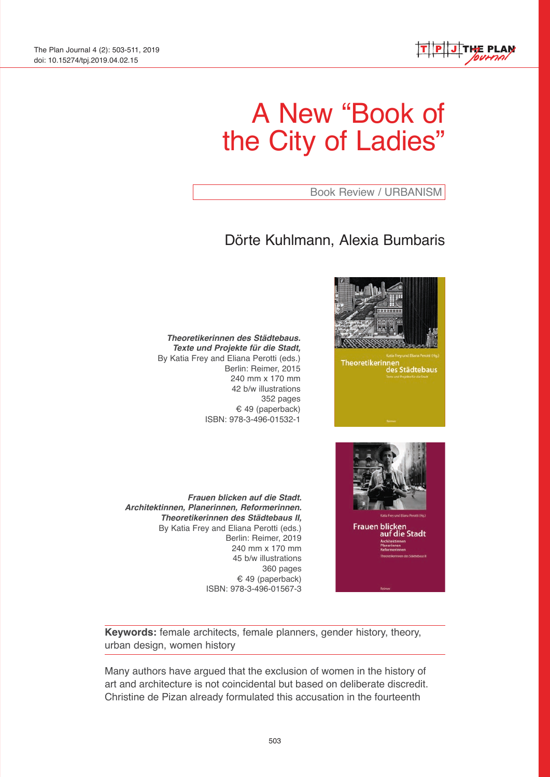

# A New "Book of the City of Ladies"

Book Review / URBANISM

**Theoretikerinnen** 

des Städtebaus

# Dörte Kuhlmann, Alexia Bumbaris

*Theoretikerinnen des Städtebaus. Texte und Projekte für die Stadt,*  By Katia Frey and Eliana Perotti (eds.) Berlin: Reimer, 2015 240 mm x 170 mm 42 b/w illustrations 352 pages € 49 (paperback) ISBN: 978-3-496-01532-1

Frauen blicken<br>auf die Stadt

*Frauen blicken auf die Stadt. Architektinnen, Planerinnen, Reformerinnen. Theoretikerinnen des Städtebaus II,*  By Katia Frey and Eliana Perotti (eds.) Berlin: Reimer, 2019 240 mm x 170 mm 45 b/w illustrations 360 pages € 49 (paperback) ISBN: 978-3-496-01567-3

**Keywords:** female architects, female planners, gender history, theory, urban design, women history

Many authors have argued that the exclusion of women in the history of art and architecture is not coincidental but based on deliberate discredit. Christine de Pizan already formulated this accusation in the fourteenth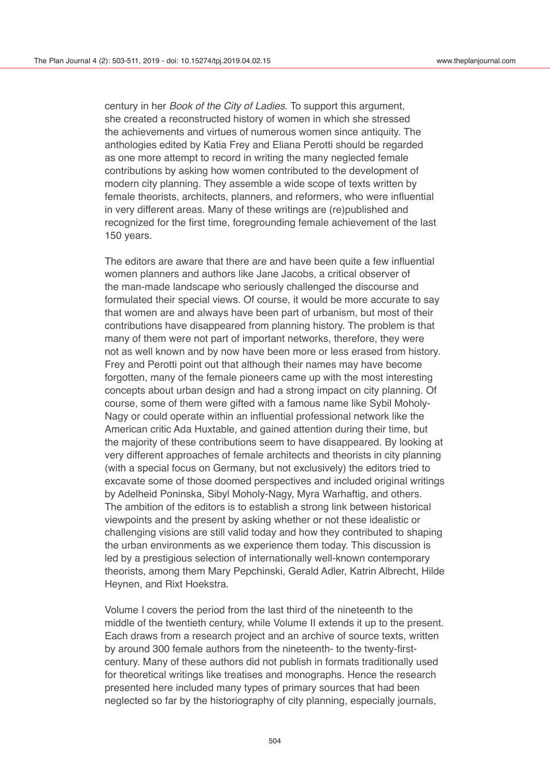century in her *Book of the City of Ladies*. To support this argument, she created a reconstructed history of women in which she stressed the achievements and virtues of numerous women since antiquity. The anthologies edited by Katia Frey and Eliana Perotti should be regarded as one more attempt to record in writing the many neglected female contributions by asking how women contributed to the development of modern city planning. They assemble a wide scope of texts written by female theorists, architects, planners, and reformers, who were influential in very different areas. Many of these writings are (re)published and recognized for the first time, foregrounding female achievement of the last 150 years.

The editors are aware that there are and have been quite a few influential women planners and authors like Jane Jacobs, a critical observer of the man-made landscape who seriously challenged the discourse and formulated their special views. Of course, it would be more accurate to say that women are and always have been part of urbanism, but most of their contributions have disappeared from planning history. The problem is that many of them were not part of important networks, therefore, they were not as well known and by now have been more or less erased from history. Frey and Perotti point out that although their names may have become forgotten, many of the female pioneers came up with the most interesting concepts about urban design and had a strong impact on city planning. Of course, some of them were gifted with a famous name like Sybil Moholy-Nagy or could operate within an influential professional network like the American critic Ada Huxtable, and gained attention during their time, but the majority of these contributions seem to have disappeared. By looking at very different approaches of female architects and theorists in city planning (with a special focus on Germany, but not exclusively) the editors tried to excavate some of those doomed perspectives and included original writings by Adelheid Poninska, Sibyl Moholy-Nagy, Myra Warhaftig, and others. The ambition of the editors is to establish a strong link between historical viewpoints and the present by asking whether or not these idealistic or challenging visions are still valid today and how they contributed to shaping the urban environments as we experience them today. This discussion is led by a prestigious selection of internationally well-known contemporary theorists, among them Mary Pepchinski, Gerald Adler, Katrin Albrecht, Hilde Heynen, and Rixt Hoekstra.

Volume I covers the period from the last third of the nineteenth to the middle of the twentieth century, while Volume II extends it up to the present. Each draws from a research project and an archive of source texts, written by around 300 female authors from the nineteenth- to the twenty-firstcentury. Many of these authors did not publish in formats traditionally used for theoretical writings like treatises and monographs. Hence the research presented here included many types of primary sources that had been neglected so far by the historiography of city planning, especially journals,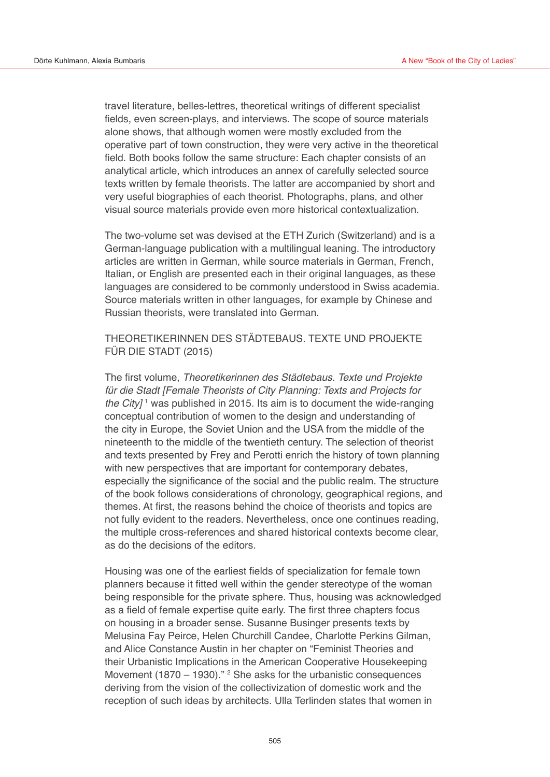travel literature, belles-lettres, theoretical writings of different specialist fields, even screen-plays, and interviews. The scope of source materials alone shows, that although women were mostly excluded from the operative part of town construction, they were very active in the theoretical field. Both books follow the same structure: Each chapter consists of an analytical article, which introduces an annex of carefully selected source texts written by female theorists. The latter are accompanied by short and very useful biographies of each theorist. Photographs, plans, and other visual source materials provide even more historical contextualization.

The two-volume set was devised at the ETH Zurich (Switzerland) and is a German-language publication with a multilingual leaning. The introductory articles are written in German, while source materials in German, French, Italian, or English are presented each in their original languages, as these languages are considered to be commonly understood in Swiss academia. Source materials written in other languages, for example by Chinese and Russian theorists, were translated into German.

## THEORETIKERINNEN DES STÄDTEBAUS. TEXTE UND PROJEKTE FÜR DIE STADT (2015)

The first volume, *Theoretikerinnen des Städtebaus. Texte und Projekte für die Stadt [Female Theorists of City Planning: Texts and Projects for the City]* <sup>1</sup> was published in 2015. Its aim is to document the wide-ranging conceptual contribution of women to the design and understanding of the city in Europe, the Soviet Union and the USA from the middle of the nineteenth to the middle of the twentieth century. The selection of theorist and texts presented by Frey and Perotti enrich the history of town planning with new perspectives that are important for contemporary debates, especially the significance of the social and the public realm. The structure of the book follows considerations of chronology, geographical regions, and themes. At first, the reasons behind the choice of theorists and topics are not fully evident to the readers. Nevertheless, once one continues reading, the multiple cross-references and shared historical contexts become clear, as do the decisions of the editors.

Housing was one of the earliest fields of specialization for female town planners because it fitted well within the gender stereotype of the woman being responsible for the private sphere. Thus, housing was acknowledged as a field of female expertise quite early. The first three chapters focus on housing in a broader sense. Susanne Businger presents texts by Melusina Fay Peirce, Helen Churchill Candee, Charlotte Perkins Gilman, and Alice Constance Austin in her chapter on "Feminist Theories and their Urbanistic Implications in the American Cooperative Housekeeping Movement  $(1870 - 1930)$ ." <sup>2</sup> She asks for the urbanistic consequences deriving from the vision of the collectivization of domestic work and the reception of such ideas by architects. Ulla Terlinden states that women in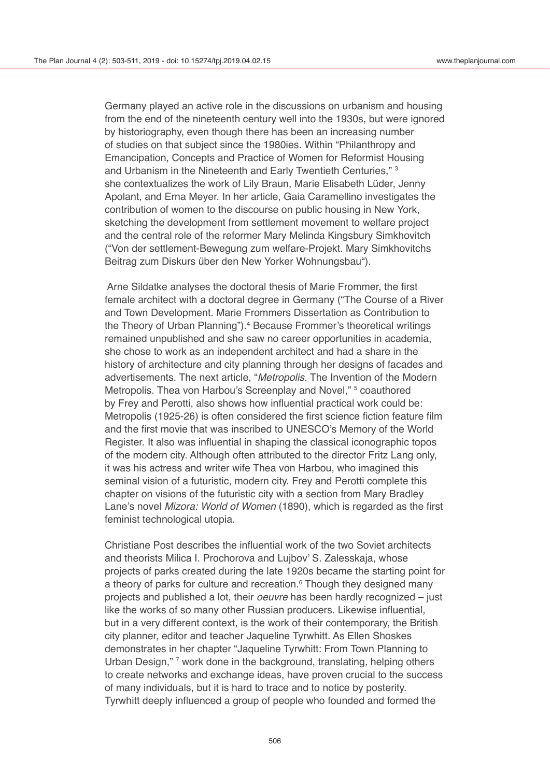Germany played an active role in the discussions on urbanism and housing from the end of the nineteenth century well into the 1930s, but were ignored by historiography, even though there has been an increasing number of studies on that subject since the 1980ies. Within "Philanthropy and Emancipation, Concepts and Practice of Women for Reformist Housing and Urbanism in the Nineteenth and Early Twentieth Centuries," 3 she contextualizes the work of Lily Braun, Marie Elisabeth Lüder, Jenny Apolant, and Erna Meyer. In her article, Gaia Caramellino investigates the contribution of women to the discourse on public housing in New York, sketching the development from settlement movement to welfare project and the central role of the reformer Mary Melinda Kingsbury Simkhovitch ("Von der settlement-Bewegung zum welfare-Projekt. Mary Simkhovitchs Beitrag zum Diskurs über den New Yorker Wohnungsbau").

 Arne Sildatke analyses the doctoral thesis of Marie Frommer, the first female architect with a doctoral degree in Germany ("The Course of a River and Town Development. Marie Frommers Dissertation as Contribution to the Theory of Urban Planning").<sup>4</sup> Because Frommer's theoretical writings remained unpublished and she saw no career opportunities in academia, she chose to work as an independent architect and had a share in the history of architecture and city planning through her designs of facades and advertisements. The next article, "*Metropolis*. The Invention of the Modern Metropolis. Thea von Harbou's Screenplay and Novel," <sup>5</sup> coauthored by Frey and Perotti, also shows how influential practical work could be: Metropolis (1925-26) is often considered the first science fiction feature film and the first movie that was inscribed to UNESCO's Memory of the World Register. It also was influential in shaping the classical iconographic topos of the modern city. Although often attributed to the director Fritz Lang only, it was his actress and writer wife Thea von Harbou, who imagined this seminal vision of a futuristic, modern city. Frey and Perotti complete this chapter on visions of the futuristic city with a section from Mary Bradley Lane's novel *Mizora: World of Women* (1890), which is regarded as the first feminist technological utopia.

Christiane Post describes the influential work of the two Soviet architects and theorists Milica I. Prochorova and Lujbov' S. Zalesskaja, whose projects of parks created during the late 1920s became the starting point for a theory of parks for culture and recreation.<sup>6</sup> Though they designed many projects and published a lot, their *oeuvre* has been hardly recognized – just like the works of so many other Russian producers. Likewise influential, but in a very different context, is the work of their contemporary, the British city planner, editor and teacher Jaqueline Tyrwhitt. As Ellen Shoskes demonstrates in her chapter "Jaqueline Tyrwhitt: From Town Planning to Urban Design," <sup>7</sup> work done in the background, translating, helping others to create networks and exchange ideas, have proven crucial to the success of many individuals, but it is hard to trace and to notice by posterity. Tyrwhitt deeply influenced a group of people who founded and formed the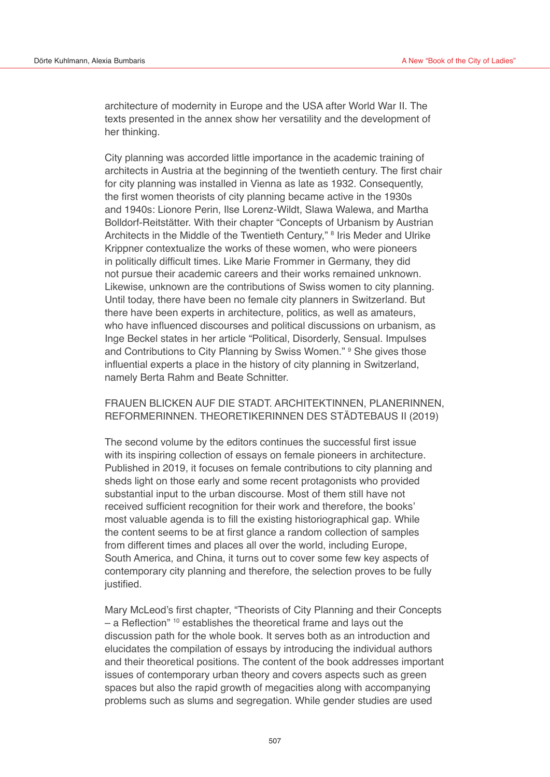architecture of modernity in Europe and the USA after World War II. The texts presented in the annex show her versatility and the development of her thinking.

City planning was accorded little importance in the academic training of architects in Austria at the beginning of the twentieth century. The first chair for city planning was installed in Vienna as late as 1932. Consequently, the first women theorists of city planning became active in the 1930s and 1940s: Lionore Perin, Ilse Lorenz-Wildt, Slawa Walewa, and Martha Bolldorf-Reitstätter. With their chapter "Concepts of Urbanism by Austrian Architects in the Middle of the Twentieth Century," 8 Iris Meder and Ulrike Krippner contextualize the works of these women, who were pioneers in politically difficult times. Like Marie Frommer in Germany, they did not pursue their academic careers and their works remained unknown. Likewise, unknown are the contributions of Swiss women to city planning. Until today, there have been no female city planners in Switzerland. But there have been experts in architecture, politics, as well as amateurs, who have influenced discourses and political discussions on urbanism, as Inge Beckel states in her article "Political, Disorderly, Sensual. Impulses and Contributions to City Planning by Swiss Women." <sup>9</sup> She gives those influential experts a place in the history of city planning in Switzerland, namely Berta Rahm and Beate Schnitter.

### FRAUEN BLICKEN AUF DIE STADT. ARCHITEKTINNEN, PLANERINNEN, REFORMERINNEN. THEORETIKERINNEN DES STÄDTEBAUS II (2019)

The second volume by the editors continues the successful first issue with its inspiring collection of essays on female pioneers in architecture. Published in 2019, it focuses on female contributions to city planning and sheds light on those early and some recent protagonists who provided substantial input to the urban discourse. Most of them still have not received sufficient recognition for their work and therefore, the books' most valuable agenda is to fill the existing historiographical gap. While the content seems to be at first glance a random collection of samples from different times and places all over the world, including Europe, South America, and China, it turns out to cover some few key aspects of contemporary city planning and therefore, the selection proves to be fully justified.

Mary McLeod's first chapter, "Theorists of City Planning and their Concepts – a Reflection" 10 establishes the theoretical frame and lays out the discussion path for the whole book. It serves both as an introduction and elucidates the compilation of essays by introducing the individual authors and their theoretical positions. The content of the book addresses important issues of contemporary urban theory and covers aspects such as green spaces but also the rapid growth of megacities along with accompanying problems such as slums and segregation. While gender studies are used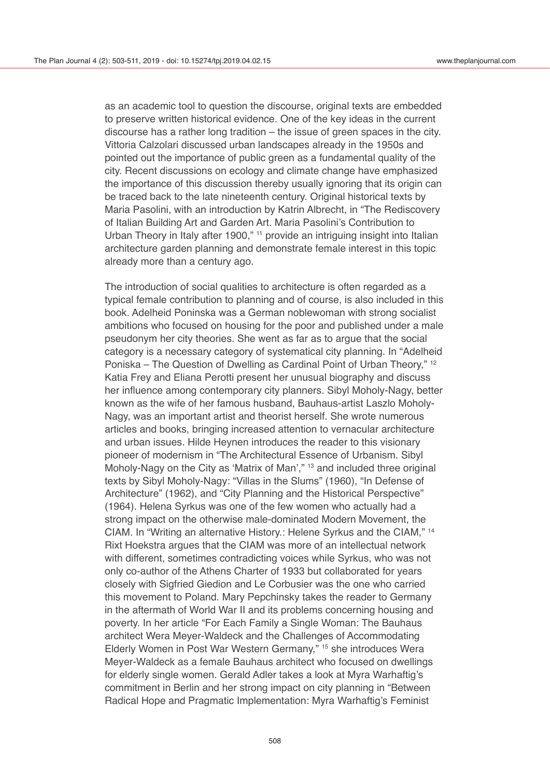as an academic tool to question the discourse, original texts are embedded to preserve written historical evidence. One of the key ideas in the current discourse has a rather long tradition – the issue of green spaces in the city. Vittoria Calzolari discussed urban landscapes already in the 1950s and pointed out the importance of public green as a fundamental quality of the city. Recent discussions on ecology and climate change have emphasized the importance of this discussion thereby usually ignoring that its origin can be traced back to the late nineteenth century. Original historical texts by Maria Pasolini, with an introduction by Katrin Albrecht, in "The Rediscovery of Italian Building Art and Garden Art. Maria Pasolini's Contribution to Urban Theory in Italy after 1900," <sup>11</sup> provide an intriguing insight into Italian architecture garden planning and demonstrate female interest in this topic already more than a century ago.

The introduction of social qualities to architecture is often regarded as a typical female contribution to planning and of course, is also included in this book. Adelheid Poninska was a German noblewoman with strong socialist ambitions who focused on housing for the poor and published under a male pseudonym her city theories. She went as far as to argue that the social category is a necessary category of systematical city planning. In "Adelheid Poniska – The Question of Dwelling as Cardinal Point of Urban Theory," 12 Katia Frey and Eliana Perotti present her unusual biography and discuss her influence among contemporary city planners. Sibyl Moholy-Nagy, better known as the wife of her famous husband, Bauhaus-artist Laszlo Moholy-Nagy, was an important artist and theorist herself. She wrote numerous articles and books, bringing increased attention to vernacular architecture and urban issues. Hilde Heynen introduces the reader to this visionary pioneer of modernism in "The Architectural Essence of Urbanism. Sibyl Moholy-Nagy on the City as 'Matrix of Man'," 13 and included three original texts by Sibyl Moholy-Nagy: "Villas in the Slums" (1960), "In Defense of Architecture" (1962), and "City Planning and the Historical Perspective" (1964). Helena Syrkus was one of the few women who actually had a strong impact on the otherwise male-dominated Modern Movement, the CIAM. In "Writing an alternative History.: Helene Syrkus and the CIAM," 14 Rixt Hoekstra argues that the CIAM was more of an intellectual network with different, sometimes contradicting voices while Syrkus, who was not only co-author of the Athens Charter of 1933 but collaborated for years closely with Sigfried Giedion and Le Corbusier was the one who carried this movement to Poland. Mary Pepchinsky takes the reader to Germany in the aftermath of World War II and its problems concerning housing and poverty. In her article "For Each Family a Single Woman: The Bauhaus architect Wera Meyer-Waldeck and the Challenges of Accommodating Elderly Women in Post War Western Germany," 15 she introduces Wera Meyer-Waldeck as a female Bauhaus architect who focused on dwellings for elderly single women. Gerald Adler takes a look at Myra Warhaftig's commitment in Berlin and her strong impact on city planning in "Between Radical Hope and Pragmatic Implementation: Myra Warhaftig's Feminist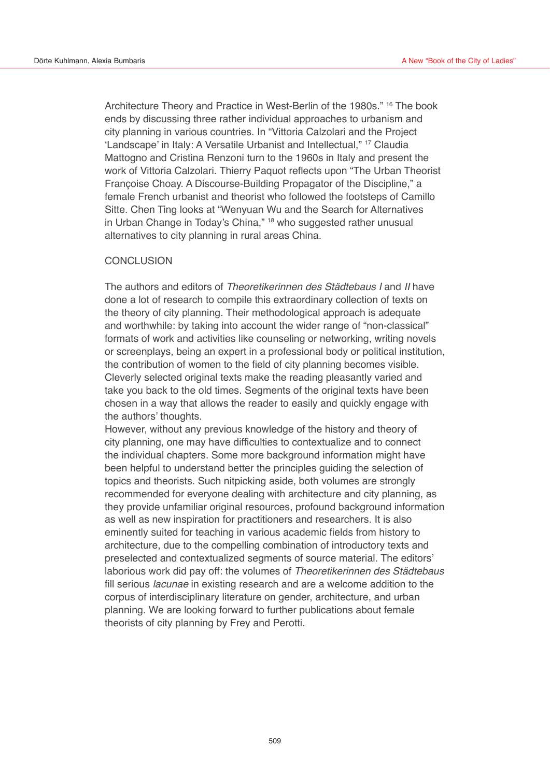Architecture Theory and Practice in West-Berlin of the 1980s." 16 The book ends by discussing three rather individual approaches to urbanism and city planning in various countries. In "Vittoria Calzolari and the Project 'Landscape' in Italy: A Versatile Urbanist and Intellectual," 17 Claudia Mattogno and Cristina Renzoni turn to the 1960s in Italy and present the work of Vittoria Calzolari. Thierry Paquot reflects upon "The Urban Theorist Françoise Choay. A Discourse-Building Propagator of the Discipline," a female French urbanist and theorist who followed the footsteps of Camillo Sitte. Chen Ting looks at "Wenyuan Wu and the Search for Alternatives in Urban Change in Today's China," 18 who suggested rather unusual alternatives to city planning in rural areas China.

#### **CONCLUSION**

The authors and editors of *Theoretikerinnen des Städtebaus I* and *II* have done a lot of research to compile this extraordinary collection of texts on the theory of city planning. Their methodological approach is adequate and worthwhile: by taking into account the wider range of "non-classical" formats of work and activities like counseling or networking, writing novels or screenplays, being an expert in a professional body or political institution, the contribution of women to the field of city planning becomes visible. Cleverly selected original texts make the reading pleasantly varied and take you back to the old times. Segments of the original texts have been chosen in a way that allows the reader to easily and quickly engage with the authors' thoughts.

However, without any previous knowledge of the history and theory of city planning, one may have difficulties to contextualize and to connect the individual chapters. Some more background information might have been helpful to understand better the principles guiding the selection of topics and theorists. Such nitpicking aside, both volumes are strongly recommended for everyone dealing with architecture and city planning, as they provide unfamiliar original resources, profound background information as well as new inspiration for practitioners and researchers. It is also eminently suited for teaching in various academic fields from history to architecture, due to the compelling combination of introductory texts and preselected and contextualized segments of source material. The editors' laborious work did pay off: the volumes of *Theoretikerinnen des Städtebaus* fill serious *lacunae* in existing research and are a welcome addition to the corpus of interdisciplinary literature on gender, architecture, and urban planning. We are looking forward to further publications about female theorists of city planning by Frey and Perotti.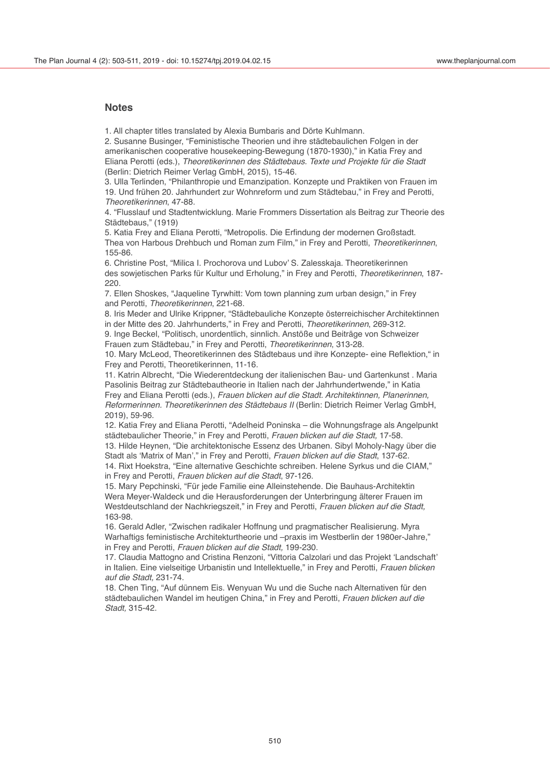#### **Notes**

1. All chapter titles translated by Alexia Bumbaris and Dörte Kuhlmann.

2. Susanne Businger, "Feministische Theorien und ihre städtebaulichen Folgen in der amerikanischen cooperative housekeeping-Bewegung (1870-1930)," in Katia Frey and Eliana Perotti (eds.), *Theoretikerinnen des Städtebaus. Texte und Projekte für die Stadt* (Berlin: Dietrich Reimer Verlag GmbH, 2015), 15-46.

3. Ulla Terlinden, "Philanthropie und Emanzipation. Konzepte und Praktiken von Frauen im 19. Und frühen 20. Jahrhundert zur Wohnreform und zum Städtebau," in Frey and Perotti, *Theoretikerinnen*, 47-88.

4. "Flusslauf und Stadtentwicklung. Marie Frommers Dissertation als Beitrag zur Theorie des Städtebaus," (1919)

5. Katia Frey and Eliana Perotti, "Metropolis. Die Erfindung der modernen Großstadt. Thea von Harbous Drehbuch und Roman zum Film," in Frey and Perotti, *Theoretikerinnen*, 155-86.

6. Christine Post, "Milica I. Prochorova und Lubov' S. Zalesskaja. Theoretikerinnen des sowjetischen Parks für Kultur und Erholung," in Frey and Perotti, *Theoretikerinnen*, 187- 220.

7. Ellen Shoskes, "Jaqueline Tyrwhitt: Vom town planning zum urban design," in Frey and Perotti, *Theoretikerinnen*, 221-68.

8. Iris Meder and Ulrike Krippner, "Städtebauliche Konzepte österreichischer Architektinnen in der Mitte des 20. Jahrhunderts," in Frey and Perotti, *Theoretikerinnen*, 269-312.

9. Inge Beckel, "Politisch, unordentlich, sinnlich. Anstöße und Beiträge von Schweizer Frauen zum Städtebau," in Frey and Perotti, *Theoretikerinnen*, 313-28.

10. Mary McLeod, Theoretikerinnen des Städtebaus und ihre Konzepte- eine Reflektion," in Frey and Perotti, Theoretikerinnen, 11-16.

11. Katrin Albrecht, "Die Wiederentdeckung der italienischen Bau- und Gartenkunst . Maria Pasolinis Beitrag zur Städtebautheorie in Italien nach der Jahrhundertwende," in Katia Frey and Eliana Perotti (eds.), *Frauen blicken auf die Stadt. Architektinnen, Planerinnen, Reformerinnen. Theoretikerinnen des Städtebaus II* (Berlin: Dietrich Reimer Verlag GmbH, 2019), 59-96.

12. Katia Frey and Eliana Perotti, "Adelheid Poninska – die Wohnungsfrage als Angelpunkt städtebaulicher Theorie," in Frey and Perotti, *Frauen blicken auf die Stadt,* 17-58.

13. Hilde Heynen, "Die architektonische Essenz des Urbanen. Sibyl Moholy-Nagy über die Stadt als 'Matrix of Man'," in Frey and Perotti, *Frauen blicken auf die Stadt*, 137-62.

14. Rixt Hoekstra, "Eine alternative Geschichte schreiben. Helene Syrkus und die CIAM," in Frey and Perotti, *Frauen blicken auf die Stadt*, 97-126.

15. Mary Pepchinski, "Für jede Familie eine Alleinstehende. Die Bauhaus-Architektin Wera Meyer-Waldeck und die Herausforderungen der Unterbringung älterer Frauen im Westdeutschland der Nachkriegszeit," in Frey and Perotti, *Frauen blicken auf die Stadt,*  163-98.

16. Gerald Adler, "Zwischen radikaler Hoffnung und pragmatischer Realisierung. Myra Warhaftigs feministische Architekturtheorie und –praxis im Westberlin der 1980er-Jahre," in Frey and Perotti, *Frauen blicken auf die Stadt,* 199-230.

17. Claudia Mattogno and Cristina Renzoni, "Vittoria Calzolari und das Projekt 'Landschaft' in Italien. Eine vielseitige Urbanistin und Intellektuelle," in Frey and Perotti, *Frauen blicken auf die Stadt,* 231-74.

18. Chen Ting, "Auf dünnem Eis. Wenyuan Wu und die Suche nach Alternativen für den städtebaulichen Wandel im heutigen China," in Frey and Perotti, *Frauen blicken auf die Stadt,* 315-42.